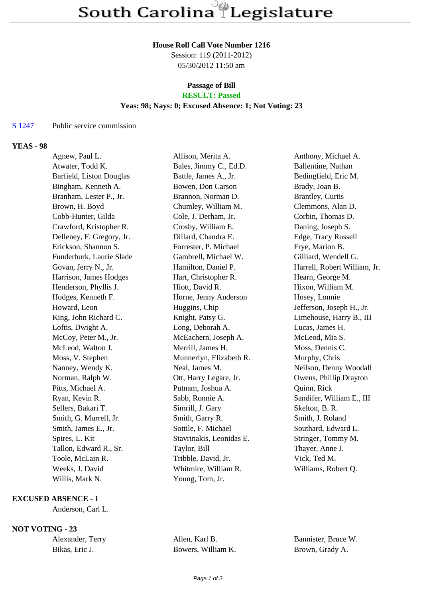#### **House Roll Call Vote Number 1216**

Session: 119 (2011-2012) 05/30/2012 11:50 am

# **Passage of Bill**

## **RESULT: Passed**

## **Yeas: 98; Nays: 0; Excused Absence: 1; Not Voting: 23**

#### S 1247 Public service commission

### **YEAS - 98**

| Agnew, Paul L.            | Allison, Merita A.       | Anthony, Michael A.          |
|---------------------------|--------------------------|------------------------------|
| Atwater, Todd K.          | Bales, Jimmy C., Ed.D.   | Ballentine, Nathan           |
| Barfield, Liston Douglas  | Battle, James A., Jr.    | Bedingfield, Eric M.         |
| Bingham, Kenneth A.       | Bowen, Don Carson        | Brady, Joan B.               |
| Branham, Lester P., Jr.   | Brannon, Norman D.       | <b>Brantley</b> , Curtis     |
| Brown, H. Boyd            | Chumley, William M.      | Clemmons, Alan D.            |
| Cobb-Hunter, Gilda        | Cole, J. Derham, Jr.     | Corbin, Thomas D.            |
| Crawford, Kristopher R.   | Crosby, William E.       | Daning, Joseph S.            |
| Delleney, F. Gregory, Jr. | Dillard, Chandra E.      | Edge, Tracy Russell          |
| Erickson, Shannon S.      | Forrester, P. Michael    | Frye, Marion B.              |
| Funderburk, Laurie Slade  | Gambrell, Michael W.     | Gilliard, Wendell G.         |
| Govan, Jerry N., Jr.      | Hamilton, Daniel P.      | Harrell, Robert William, Jr. |
| Harrison, James Hodges    | Hart, Christopher R.     | Hearn, George M.             |
| Henderson, Phyllis J.     | Hiott, David R.          | Hixon, William M.            |
| Hodges, Kenneth F.        | Horne, Jenny Anderson    | Hosey, Lonnie                |
| Howard, Leon              | Huggins, Chip            | Jefferson, Joseph H., Jr.    |
| King, John Richard C.     | Knight, Patsy G.         | Limehouse, Harry B., III     |
| Loftis, Dwight A.         | Long, Deborah A.         | Lucas, James H.              |
| McCoy, Peter M., Jr.      | McEachern, Joseph A.     | McLeod, Mia S.               |
| McLeod, Walton J.         | Merrill, James H.        | Moss, Dennis C.              |
| Moss, V. Stephen          | Munnerlyn, Elizabeth R.  | Murphy, Chris                |
| Nanney, Wendy K.          | Neal, James M.           | Neilson, Denny Woodall       |
| Norman, Ralph W.          | Ott, Harry Legare, Jr.   | Owens, Phillip Drayton       |
| Pitts, Michael A.         | Putnam, Joshua A.        | Quinn, Rick                  |
| Ryan, Kevin R.            | Sabb, Ronnie A.          | Sandifer, William E., III    |
| Sellers, Bakari T.        | Simrill, J. Gary         | Skelton, B. R.               |
| Smith, G. Murrell, Jr.    | Smith, Garry R.          | Smith, J. Roland             |
| Smith, James E., Jr.      | Sottile, F. Michael      | Southard, Edward L.          |
| Spires, L. Kit            | Stavrinakis, Leonidas E. | Stringer, Tommy M.           |
| Tallon, Edward R., Sr.    | Taylor, Bill             | Thayer, Anne J.              |
| Toole, McLain R.          | Tribble, David, Jr.      | Vick, Ted M.                 |
| Weeks, J. David           | Whitmire, William R.     | Williams, Robert Q.          |
| Willis, Mark N.           | Young, Tom, Jr.          |                              |

### **EXCUSED ABSENCE - 1**

Anderson, Carl L.

## **NOT VOTING - 23**

| Alexander, Terry |  |
|------------------|--|
| Bikas, Eric J.   |  |

Allen, Karl B. Bannister, Bruce W. Bowers, William K. Brown, Grady A.